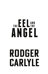# THE E E LAND ANGEL

## RODGER CARLYLE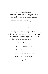All rights reserved to the author This is a work of fiction. The names, characters, organizations and events are products of the author's imagination and bear no relation to any living person or are used fictitiously.

THE EEL AND THE ANGEL. Copyright © 2020 by Rodger Carlyle. All rights reserved.

Published in the United States by Verity Books, an imprint of Comsult, LLC.

All rights reserved. Except for brief passages except quoted in newspaper, magazine, radio, television or online reviews, no portion of this book may be reproduced, distributed, or transmitted in any form or by any means, electronic or mechanical including photocopying, recording, or information storage or retrieval systems without the prior written permission of the author and/or Comsult, LLC.

First published in 2021.

ISBN 978-1-7360074-2-6 (e-book) ISBN 978-1-7360074-3-3 (paperback) ISBN 978-1-7360074-4-0 (hardcover)

Editing: Inventing Reality Editing Service

Cover design and formatting: Damonza

www.rodgercarlyle.com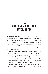### CHAPTER 1 **Anderson Air Force Base, Guam**

JUAN PEDRO PARKED his patrol car on the tiny dirt track off from the main patrol road, leaving the engine running as he made his way toward the ocean at the end of the runway. Somewhere in his brain he thought that he had seen a flicker of a red light through the trees above the rocky bluff that protected the end of the runway from the occasional violent Pacific storm. He didn't bother to call in the siting, deciding to wait until he knew for sure what had attracted his attention.

Besides, there were no flight operations that moonlit April night and a need to stretch his legs in the moonlight might, just might, be what had triggered his response. He left the road, moving to the crude trail along the edge of the bluff, a place where the only sounds were from the surf below. Every night he seemed to find some excuse for a stroll along the ocean, usually about halfway through his 10 p.m. to six in the morning shift.

Juan had come to the tiny Pacific Island as an Air Force policeman more than twenty years earlier and fallen in love with the lazy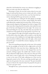island life. He'd finished his twenty-year enlistment struggling to figure out what came after the military life.

Returning to Guam, the one duty station where he was truly happy, he had used his former service to land a job with a civilian security-contracting firm and less than a year later Juan had married an island girl half his age and started a new family.

He strained his eyes, looking for the faint glimpse of red light that his brain told him was out there, seeing nothing. His relaxed stroll reflected the complete lack of security threat. The last time anything remotely dangerous had happened was back in August 2019 when some idiot, being chased by local police, had crashed the main gate of the base and disappeared into the jungle. The nutcase was discovered hiding the next day, and rather than just surrender, he attacked one of the guards and was shot dead by an Air Force cop.

Juan stopped at the edge of the bluff, staring off into space, as he often did on these clear nights, still in wonder at a sky that had never been part of his childhood in the bright lights and polluted skies of southern California. Below and to his right, a faint sound lowered his gaze. It sounded like someone clipping a wire with a pair of cutters.

There was something moving only ten feet away. As he reached for the tiny penlight on his belt, he felt a slight prick on his left thigh, followed by what must have been a lightning strike. The most excruciating pain he had ever felt dropped him onto his stomach, writhing in agony. He couldn't take a breath to scream. His eyes fluttered at light speed, as they and every other part of his body tried to come to grips with a wave of burning that seemed to start in the center of his body, radiating out so that even his fingernails seemed on fire. His arms and legs pounded again and again into the ground as his torso contorted. The pain intensified as waves of electric fire swept his body. He prayed for the pain to stop, but it just grew worse.

Through his tears, a person dressed in a black suit knelt beside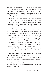him and leaned down whispering. Through his tortured ears he thought he heard, "I sorry, you were supposed to pass out." It was hard to tell, the words spoken were delivered with an accent that even in normal times he would have misunderstood. Perhaps his hearing was failing. Juan's shoulder was pulled down as whoever was next to him, knelt on his arm to stop its movement.

He never felt the needle as a full syringe of air was injected into a vein in his wrist. He never felt the edge of a sharp rock as it tore across the wrist, destroying any indication of an injection. A moment later another man grabbed his other arm and the two men together dragged Juan into the jungle holding him until his body stopped moving.

The men went back to the job they had come to do, finishing only minutes later. One of the men tugged Juan's boots from his feet and slipped them onto his own. He handed his soft rubber shoes to his partner as he hoisted Juan onto a shoulder, then followed his partner down a steep trail to the water below. Carefully lacing Juan's boots onto the dead guard's feet, he slid his body into the water. He and his buddy retrieved their air tanks and fins from the brush and slid into the turbulent water, pushing silent winged electric underwater scooters in front of them. They pulled Juan's body out to sea as they headed into the endless ocean.

A couple of hundred meters offshore, they released the body and dove, navigating to their ride home using a tiny display strapped to their arms.

Five hours later and thousands of miles away, a technician sitting in front of a computer console read the signal from the acoustic listening device now operating at the end of the runway at the American Air Force base on Guam. He called up another screen, copying the signal onto a second page where he compared it to a library of acoustic sounds gathered over years by dozens of operatives from around American Air Force facilities. He called to a tall thin junior officer.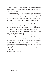"Sir," he offered, pointing at the display, "you can inform the general that an American KC-46 Pegasus tanker has just departed Guam. We are operational."

"That is good to hear," replied the officer. "It is one more move in our ability to track the American military and gives our country another data source to offer our allies. The more they keep the Americans off guard using what we sell them, the lower the chance that China will end up confronting American military power."

At almost the exact same moment, a small boat from the American naval base reached the dock with the body of a security guard who had been missing for hours. The Navy doctor who helped lift the body from the boat stepped onto the dock, shaking his head.

"Any idea what happened, Commander?" asked an Air Force colonel staring down at the body.

"No, sir. Other than a small abrasion on his wrist, I see no obvious wound. Maybe an allergic reaction to a bug bite or a heart attack." The doctor leaned over the body, pulling at a khaki pants leg. There's a small puncture through the fabric on the front of his left thigh, and there appears to be a small swelling below it. God only knows what might have caused it. There are a lot of animals whose sting or bite that can quickly kill you once you end up in the Pacific." The doctor watched as two medics lifted the body onto a stretcher. "Maybe he just went for a walk and fell. The shore below the runway is really rugged."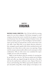#### CHAPTER 2 **Virginia**

MATHEW CHANG, DIRECTOR of the CIA had called the meeting against his own better judgment. He'd always managed to avoid conspiracy theories that weren't vetted by his own agency. A young naval lieutenant from the Farragut Technical Analysis Center, the technical analysis group for Naval Intelligence had forwarded a report up the chain of command that created a minor furor in his own office. Some Whiz Kid, as two deputy directors referred to him, managed to patch together half a dozen unrelated stories and deduced a new threat that no other source was reporting. Chang read the synopsis and personally called several counterparts to find confirmation. Hell, no other source even considered the report credible; just two of his own deputies.

Right on time his phone rang, the reminder of a meeting that he just didn't have time for. The Director picked up his briefing folder and coffee cup, slipped through the side door of his office and into his small private conference room. Deputy Director of Science and Technology, Pete Wilson squeezed the shoulder of the spit and polish young officer, busily taping on the laptop at one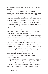end of a small rectangular table. "Lieutenant Gritt, this is Director Chang."

Chang could tell that the young man was trying to figure out whether to salute or shake hands, so he extended his hand. He had always believed the best way to get rid of a pest was to kill it with kindness before sending it on its way with an assignment that would take the rest of the pest's life to accomplish. "Okay Lieutenant, show me what you came up with. I've only got about fifteen minutes."

"Yes sir," offered the young man, tapping on the laptop, as Wilson, Chang and the fourth party at the meeting, Jana Taylor, the recently appointed CIA director of Operations slid into their chairs.

Chang was impressed as the young man immediately launched his presentation, wasting no time on introducing himself or background. The brevity was unusual and refreshing.

"My first slide is a photograph taken nineteen months ago on the coast of Washington State. It shows two FBI agents with a box that was found at an unmanned control station and hub for a major cross-Pacific fiber optic cable. The box was inside the small facility, actually sitting in one of the equipment racks along with equipment that was supposed to be there. The technician who discovered it has no idea how long it has been installed. He was trouble shooting a problem and noted that the box did not appear on any of his 'as built' drawings. It was plugged in and had patch cords connecting it to the cable frame used by our military to communicate with facilities in Hawaii and Alaska."

The young lieutenant tapped another key, and a new photo popped up on the screen.

"This is a collage of pictures that one of our assets in Taiwan forwarded to us. He did not divulge where he got it. The Chinese have infiltrated the military in Taiwan over the last several years, but the other side of that is the Taiwanese also have a solid intelligence network on the mainland. You will note that they are all of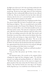the flight tests of the new F-35C that were being conducted at the Whidbey Island Naval Air Station in Washington state fourteen months ago. The last one, lower right, shows two Navy technicians holding a box that is substantially different from the one collected in slide one. This one was found in the tiny hut where radio and telemetry data for the test is converted from radio to terrestrial signals. The box had no purpose in the facility."

The lieutenant tapped another key, bringing up another frame. The picture looked like the kind of incidental trash you might find along any highway. "This, sir, was picked up by some facility maintenance people at the Newport News Shipyard. The location where it was found offers a view of the final assembly area for our Ford class nuclear carriers. The trash isn't as important as the fiber optic cable that security found coiled just under the surface of the bay. There was nothing connected to the cable. They traced it and found that it ran more than a mile out into the Atlantic where they found the other end resting on a large cement block." The man tapped another key, bringing up a split photo. "The one on the right is the end on the land, and the other is the abandoned end on the block. You will note that the block has bolts that would allow a box, approximately three feet by four feet to be anchored, although there was nothing on the block when it was found."

"Lieutenant," said Chang, "would you scroll back one photo."

The picture of trash came up.

"Can you blow that picture up? I'd like a better view, a close-up."

The lieutenant spent a few seconds on the computer before enlarging the image and then enlarging it again. "I'm told that you grew up reading and speaking Mandarin, sir," offered Gritt. "We believe that what you have on the screen are wrappers and plastic pouches of the same rations that the Chinese issue to their Marines. They had been buried, but some dog at the Newport facility dug them up, or we would have never found any of this."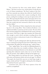"The Lieutenant has three more similar photos," offered Wilson. "The boxes you have seen, and the photo of trash all seem to be of Chinese manufacture. The Navy's analysis of the Newport News materials may indicate that while the *Gerald Ford* was being constructed, someone had a camera recording the whole process, sending the recordings to some type of capture device offshore. We're guessing that both the camera and capture device were pulled after construction, and that whoever planted the camera got what they needed and aren't interested in detail on the new ship, the *Doris Miller*."

"Mat," offered director Taylor, rising from her chair and standing next to the young officer, "these incidents all indicate a very sophisticated ability to penetrate our best security. The areas where these intrusions happened are all blanketed with acoustic and magnetic sensors. If the Navy is right, then somehow the Chinese got close enough to send in divers and plant recording devices and even put men ashore to take pictures in spite of our millions spent to keep them out."

"Didn't we tap the underground cable that allowed the Russians to communicate along their bases from Vladivostok to north of Kamchatka? We pulled that off decades ago," replied Chang.

"True," replied Taylor, "but we did it by infiltrating Russian territorial waters where there were virtually no defenses. Unless one of their destroyers had passed directly over the submarine we used while operating their underwater sensors, there was no way for them to detect the intrusion. This is different. We had our best defense up."

Mat Chang smiled as he read from the screen. "Energy bars with raisins and hydration drinks with salt and sugar," he offered. "The people who buried this crap were on land long enough to require a drink and food." He sighed, realizing that this wild goose chase had just become a goose hunt.

"Lieutenant Gritt, what is the Navy's opinion of how this could be accomplished?"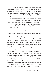"Sir, a decade ago, your folks sent us some sketchy intel about the Chinese working on a completely stealthy submarine. We looked at the data and came to the conclusion that no submarine that was a threat, meaning attack or boomer, could possibly be built using the concept in that intel. Maybe we weren't broad enough in our threat evaluation. The Chinese have perfected a small undetectable submarine and are using it to pick our pockets."

"Lieutenant, we need a few minutes to digest all this," said Chang. "Make sure that Dr. Wilson knows where to find you."

"Pete, if you will show Lieutenant Gritt out to his escort, I'll cancel my lunch with Senator Wurtz and get Maggie on some sandwiches. We will reconvene in ten minutes.

 $\hat{\mathcal{F}}$ 

"Okay, Jana, you called this meeting. Beyond the obvious, what is the threat here?

Jana Taylor had started her government career as one of the first women to complete the hell that was Navy Seal training. With few missions available to her, and butting heads with the prejudice against women, and the Don't Ask, Don't Tell policy, she retired her hard-won Navy commission and joined the Central Intelligence Agency in clandestine operations. Over a quarter century she had amassed a record of achievement and educational commitment second to none.

She smiled at Chang, brushing her gray-streaked plain brown hair from in front of ordinary brown eyes. "Well, Mat, what we don't know can hurt us, and we don't know a damned thing about how pervasive this thing is. But the thing that led Pete and I to raise hell with you over this obscure report was the ARCTIC ANGEL PROJECT. Eventually we will have half a dozen facilities for this shield. But for now, all we have is one prototype as far out in the wilds of the Aleutian Islands of Alaska as it could be. It is in a place where we have no immediate backup if the Chinese or the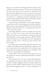Russians or even the forces of Paraguay wanted to launch a sneak, small force penetration operation. We have been counting on the fact that, to the world, even our own forces, it doesn't exist. We have the facility ringed by every sensor we have in the inventory. But if someone finds out, the two-dozen guards there aren't much of a deterrent to a small group of trained commandos who can reach the facility undetected. Even if they call for help, it will take hours for a rapid reaction force to reach them."

"I agree with Jana," offered Wilson. "But of equal importance, is what she led with. We technology guys are always rattled by a phenomenon we don't understand. We don't have a clue about this submarine thing, and until we do, we can't guarantee any site close to the ocean can be secured."

Mat Chang ripped the end from a package of Lay's potato chips. "So, if this is real, we have three tasks. First, figure out where they have been, or are snooping on us. Second, work with the Defense folks to come up with a strategy for ARCTIC ANGEL without blowing our cover. Third, figure out what technology the Chinese are using to move a sub into our waters without a hint that it is there."

Pete Wilson stood up, brushing crumbs from his shirt into a napkin neatly folded in his lap. He folded the napkin over and over to ensure none of the crumbs fell out. He crossed the room, laying rather than dropping the napkin into a wastebasket. "This seems to be a fair assessment of the problem."

Chang smiled. If Pete just had a pencil protector in his shirt pocket the moment would perfectly describe the Technology Director.

Jana shook her head. "One more small complicating problem, gentlemen. Just in the last couple of weeks, we've noticed an increase in Chinese intelligence aircraft and snooper ships in the general area of the ARCTIC ANGEL facility. I'm not convinced that they haven't figured out that we are up to something out on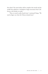that island. The main facility will be complete this month and the stealth laser platform is scheduled to begin movement from California to the facility in weeks."

"Then, we need to add a fourth item," continued Chang. "We need to figure out what the Chinese already know."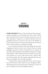#### CHAPTER 3 **Virginia**

CHANG AND DEPUTY Director Taylor had always had a great relationship, probably born of watching each other's careers. While Jana's career had been focused on European operations, many of them clandestine, Chang's area of expertise had been Asia. His grandfather had been a General in the Army of the Republic of China and after their exile to Taiwan had immigrated to the United States, somehow with a very substantial nest egg.

Jana remembered having a drink with Chang after her body language gave away her concern over a Chinese American running intelligence operation on China. Chang had run up a big tab on his credit card as Jana subtlety pressed him with questions. Chang's father had been a West Point grad who had retired in just twenty years and gone on to start a joint venture with a couple of officers who he worked with. The company integrated American and Korean technologies, all in the defense industry.

Chang had also sailed through West Point, and then spent three years bored out of his mind as an Army Intelligence officer. He'd negotiated an early release from his commitment courtesy of his new employer, the Central Intelligence Agency.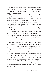With the death of his father, Mat Chang left the agency to take over as president of the family firm. To his surprise that involved him more deeply in intelligence and on a level that a career CIA employee would never see.

When a former West Point classmate became President, Mat accepted an offer to head up the Central Intelligence Agency after he was assured of direct access to POTUS and gotten that man's agreement that he could slash the agency's red tape. Not only had Jana accepted the man's history, she had grown to consider Chang the most effective operative that she had ever worked with. She'd been elated when the President made him director.

He'd passed over a dozen more experienced career employees to pick Pete Wilson to run Science and Technology and did the same to slide his old friend Jana into the Director of Operations job. Wilson had been the Agency liaison to his company. No one in the world had overcome more to succeed than Jana, which made her, a can't fail appointment. She'd even taken up golf so that she and Mat could get completely away from the bureaucrats that both detested.

Jana pushed the tee into the soft ground, concentrating on getting her ball to rest on the tee as she struggled with her close-up vision, a function of head trauma from a mission a decade before. "Pete and I were a bit surprised that you signed onto the data that Lt. Gritt presented. It was plenty thin."

"Jana, my family has been battling the communists since the 1940s. Family members who stayed on the mainland after the retreat to Taiwan were never heard from again. This secret sub thing is just the kind of low-cost attack that they favor. Their espionage has allowed them to close a fifty-year technology gap in less than fifteen years. We're still ahead but only by a decade. Our next move will widen that advantage again, but only if they can't steal the technology before it is fully implemented. If this sub is real, we need to stop it now."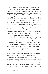"Mat, I don't have anyone in mind that I trust with this project. The couple of go-to people I'd consider, are both buried in critical work." Jana relaxed, as she watched her ball sail about a hundred and fifty yards directly down the middle of the fairway.

Her old friend and boss lobbed a slight hook into the ruff about fifty yards further down the arrow straight manicured grass in front of them. "I was kind of thinking it might be a job for an old timer. We're looking for a high-tech system, but this looks like a good old shoe leather investigation. We just need to look at every site that may be vulnerable without raising an alarm. Of all the things we don't need right now is to risk the Chinese somehow figuring out that we are chasing their stealth boat. We need to ascertain the damage before they go dark on us. I'm thinking we give someone almost complete control, and back them with a small Special Forces team. We can use base security testing as a cover."

"You're thinking of Thad Walker, aren't you?

Mat smiled, as he tugged a pitching wedge from his golf bag. "Only because he never fails, and nobody outside of the few old timers left around the company, even know who he is."

Jana lofted a three iron up to within thirty yards of the green. She had learned to love working things like this out with Mat, each speaking a sentence only when they hit a shot. It allowed a lot of time in between to think through each piece of the puzzle.

"Pete has been combing through the reports on the Chinese surveillance of the Arctic project." Mat's next shot bounced twice and then ran well past the green. "He thinks it might be an opportunity to let them find what we think they are looking for."

Jana's wedge shot rolled up to within four feet of the pin. "I'm not sure that I understand that. Giving them anything on Arctic Angel seems damned risky."

Mat decided on a thirty-foot put rather than another wedge shot. He'd never mastered getting enough backspin to stop his ball from rolling well past where it landed. "He thinks we can give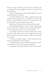them just enough to think they know what they are dealing with; just enough that they quit digging." His shot came up ten feet short of the cup.

"Okay, but what's that got to do with Thad Walker?" Jana went ahead and putted in for her par.

"You both think that Arctic Angel is a logical target for the stealth sub. We're going to have to read Walker in on most of the project since part of what we need to do is secure that site." His put rimmed the cup and stopped six inches away.

"Agreed, but I still don't see how that fits into Pete's plan?"

Mat's ball finally dropped into the cup. Both of them began the slow walk to the next green as their security detail began to move as well. Neither wrote a score on their scorecard.

"I just think we put the two of them together and see if they can kill two birds with one stone. We use Angel as bait to study this sub and give the Chinese enough to 'think' they understand Arctic Angel."

"Let's call in the dogs," said Jana. "That's our usual five holes and you're playing like you hate this game."

"I do hate this game. I'd much prefer floating down the Madison in Montana with a fly rod, catching brown trout."

Jana laughed. "You going to Montana to talk to Thad yourself?"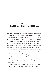#### Chapter 4 **Flathead Lake Montana**

THE DIRECTOR'S PRIVATE Gulfstream jet touched down on the long runway at Malmstrom Air Force Base in Great Falls. It taxied past a huge portion of America's strategic bomber force before stopping in a parking place well away from normal base activity. Since even he hadn't figured out that he was making this trip until the night before, Chang was traveling light, with no advance security. He and the two guards that had volunteered their time as a break from the hustle of D.C. and a ride on the plush private jet fanned out talking to a half-dozen military policemen who met the jet. A third very junior agent struggled down the ramp carrying the hastily thrown together luggage of four men.

The commander of the base met Chang near a waiting helicopter. "It's the best I can do with no notice," he offered.

"It will work just fine. I'm on my way to surprise an old friend and we will need to land in a small meadow next to his home on Flathead Lake."

The base commander knew better than to ask any questions.

"I may need the helicopter for a couple of days, if that is all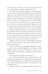right?" said Chang. "I'll have your crew keep you posted. If there is any ground expense, the Agency will take care of it."

The backbone of the Rocky Mountains stretched about halfway between Great Falls and Thad Walker's house on Montana's largest lake. That meant that they had to fly high, but the trip was only about 150 miles. It was still mid-morning as the helicopter began to circle the small field next to the house. Chang could tell from the air, that his old colleague was there as expected. Walker was a man of routine, and part of that was an early morning row out on the lake, in a boat he'd built himself. Walker was on the dock as they circled. A large dark dog stood on the shore barking.

Walker, now in his early seventies, met the men at the house as if a helicopter dropping from the sky was an everyday experience. He extended his hand to Chang but said nothing with the others around. The two men wandered back down to the dock as the two Air Force pilots found a place in the shade and opened a thermos of coffee. Chang's security detail spread out trying to look casual in their suits, in a place that never had seen a suit before.

"Well that was quite an entrance," offered Walker, working his way down the gravel path, his cane planted carefully next to his bad leg with each step.

"Time was of the essence," laughed his old friend. "I'm about to tell you a story and would appreciate your feedback. If that feedback includes any interest in helping your country out of a small jam, then we will talk about spending a day fishing to flesh in the details."

"It's a little early for the lake to produce well."

"If you still have that buddy with the tackle shop over on the Madison, I was thinking that we could saddle up that chopper and catch a half day floating the river. We will need to borrow his boat, since we can't really talk in front of him. I can row if you're too old to handle the boat."

"Well look what D.C. and dealing with that bureaucracy has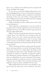done to you – brought out the asshole that all of us suspected all along," said Walker with a laugh.

The two men sat on the dock, Walker pulling off his tennis shoes and dangling his feet in the water. He listened as Chang outlined the Chinese intelligence efforts, troubled by his old friend's description of their success. He smiled, as Chang pulled off his shoes, stuffing his socks in them as he rolled up his pants, plunging his feet into the brutally cold April water.

"Well, my old friend, just what would you have me do to help fix this fucking mess?"

"We're looking for an old hand that we can trust to find out how big the hole is and then help figure out how the Chinese are pulling this off. As part of the effort, we'd like to get some idea of what they might already know."

Walker's worn feet were getting really cold, but he wasn't about to admit that yet. He soaked them every morning to reduce the swelling. "Seems to me, to be a multi-team project that requires nothing more than spending whatever time is necessary, using whatever resources you already have available to dig and dig. Over a reasonable period of time, the details will paint the picture. Why do you need me?"

"Well, it's the last part that has us really worried. We are building out a prototype defensive system that will change the balance of power for a decade or two, maybe longer. The problem is that we're building it in a place that is really vulnerable to this Chinese technology. It could be very vulnerable. It's important enough to risk a shooting war, if either the Russians or the Chinese figure out what we are doing before the system is operational. We're trying to keep this completely secret right up to the time we finish testing. If this gets out, we're liable to have a division of bad guy troops landing on a beach secured by a handful of Air Force cops."

Walker pulled his blue feet from the water and began to massage the parts that always hurt as they warmed up. "You and I